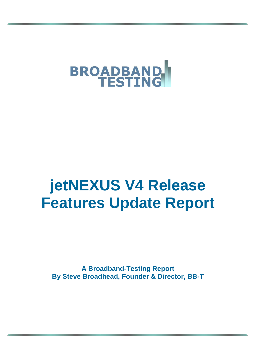

# **jetNEXUS V4 Release Features Update Report**

**A Broadband-Testing Report By Steve Broadhead, Founder & Director, BB-T**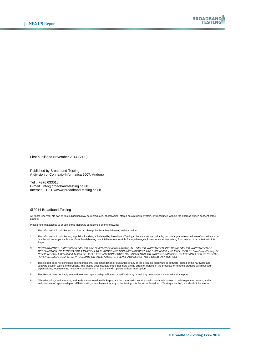

First published November 2014 (V1.0)

Published by Broadband-Testing A division of Connexio-Informatica 2007, Andorra

Tel : +376 633010 E-mail : info@broadband-testing.co.uk Internet : HTTP://www.broadband-testing.co.uk

#### @2014 Broadband-Testing

All rights reserved. No part of this publication may be reproduced, photocopied, stored on a retrieval system, or transmitted without the express written consent of the authors.

Please note that access to or use of this Report is conditioned on the following:

- 1. The information in this Report is subject to change by Broadband-Testing without notice.
- 2. The information in this Report, at publication date, is believed by Broadband-Testing to be accurate and reliable, but is not guaranteed. All use of and reliance on<br>this Report are at your sole risk. Broadband-Testing i Report.
- 3. NO WARRANTIES, EXPRESS OR IMPLIED ARE GIVEN BY Broadband-Testing. ALL IMPLIED WARRANTIES, INCLUDING IMPLIED WARRANTIES OF<br>MERCHANTABILITY, FITNESS FOR A PARTICULAR PURPOSE AND NON-INFRINGEMENT ARE DISCLAIMED AND EXCLUDE
- 4. This Report does not constitute an endorsement, recommendation or guarantee of any of the products (hardware or software) tested or the hardware and<br>software used in testing the products. The testing does not guarantee
- 5. This Report does not imply any endorsement, sponsorship, affiliation or verification by or with any companies mentioned in this report.
- 6. All trademarks, service marks, and trade names used in this Report are the trademarks, service marks, and trade names of their respective owners, and no<br>endorsement of, sponsorship of, affiliation with, or involvement i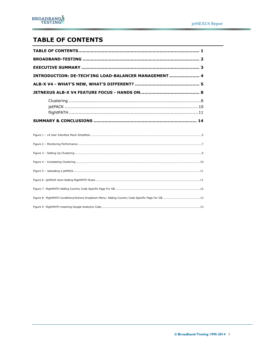# <span id="page-2-0"></span>**TABLE OF CONTENTS**

| INTRODUCTION: DE-TECH'ING LOAD-BALANCER MANAGEMENT 4 |  |  |  |  |
|------------------------------------------------------|--|--|--|--|
|                                                      |  |  |  |  |
|                                                      |  |  |  |  |
|                                                      |  |  |  |  |
|                                                      |  |  |  |  |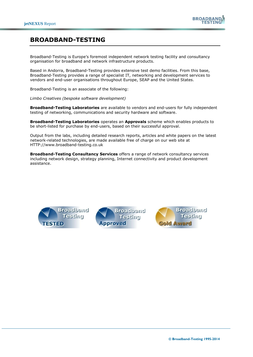

## <span id="page-3-0"></span>**BROADBAND-TESTING**

Broadband-Testing is Europe's foremost independent network testing facility and consultancy organisation for broadband and network infrastructure products.

Based in Andorra, Broadband-Testing provides extensive test demo facilities. From this base, Broadband-Testing provides a range of specialist IT, networking and development services to vendors and end-user organisations throughout Europe, SEAP and the United States.

Broadband-Testing is an associate of the following:

*Limbo Creatives (bespoke software development)*

**Broadband-Testing Laboratories** are available to vendors and end-users for fully independent testing of networking, communications and security hardware and software.

**Broadband-Testing Laboratories** operates an **Approvals** scheme which enables products to be short-listed for purchase by end-users, based on their successful approval.

Output from the labs, including detailed research reports, articles and white papers on the latest network-related technologies, are made available free of charge on our web site at HTTP://www.broadband-testing.co.uk

**Broadband-Testing Consultancy Services** offers a range of network consultancy services including network design, strategy planning, Internet connectivity and product development assistance.

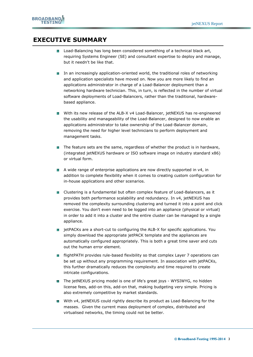## <span id="page-4-0"></span>**EXECUTIVE SUMMARY**

- **Load-Balancing has long been considered something of a technical black art,** requiring Systems Engineer (SE) and consultant expertise to deploy and manage, but it needn't be like that.
- In an increasingly application-oriented world, the traditional roles of networking and application specialists have moved on. Now you are more likely to find an applications administrator in charge of a Load-Balancer deployment than a networking hardware technician. This, in turn, is reflected in the number of virtual software deployments of Load-Balancers, rather than the traditional, hardwarebased appliance.
- **Number 1** With its new release of the ALB-X v4 Load-Balancer, jetNEXUS has re-engineered the usability and manageability of the Load-Balancer, designed to now enable an applications administrator to take ownership of the Load-Balancer domain, removing the need for higher level technicians to perform deployment and management tasks.
- The feature sets are the same, regardless of whether the product is in hardware, (integrated jetNEXUS hardware or ISO software image on industry standard x86) or virtual form.
- **A** wide range of enterprise applications are now directly supported in v4, in addition to complete flexibility when it comes to creating custom configuration for in-house applications and other scenarios.
- **Clustering is a fundamental but often complex feature of Load-Balancers, as it** provides both performance scalability and redundancy. In v4, jetNEXUS has removed the complexity surrounding clustering and turned it into a point and click exercise. You don't even need to be logged into an appliance (physical or virtual) in order to add it into a cluster and the entire cluster can be managed by a single appliance.
- **EX** jetPACKs are a short-cut to configuring the ALB-X for specific applications. You simply download the appropriate jetPACK template and the appliances are automatically configured appropriately. This is both a great time saver and cuts out the human error element.
- **flightPATH provides rule-based flexibility so that complex Layer 7 operations can** be set up without any programming requirement. In association with jetPACKs, this further dramatically reduces the complexity and time required to create intricate configurations.
- The jetNEXUS pricing model is one of life's great joys WYSIWYG, no hidden license fees, add-on this, add-on that, making budgeting very simple. Pricing is also extremely competitive by market standards.
- $\blacksquare$  With v4, jetNEXUS could rightly describe its product as Load-Balancing for the masses. Given the current mass deployment of complex, distributed and virtualised networks, the timing could not be better.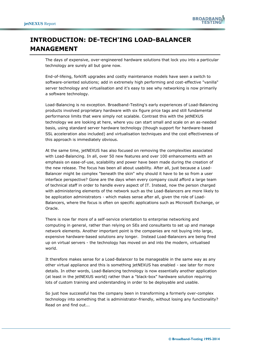

# <span id="page-5-0"></span>**INTRODUCTION: DE-TECH'ING LOAD-BALANCER MANAGEMENT**

The days of expensive, over-engineered hardware solutions that lock you into a particular technology are surely all but gone now.

End-of-lifeing, forklift upgrades and costly maintenance models have seen a switch to software-oriented solutions; add in extremely high performing and cost-effective "vanilla" server technology and virtualisation and it's easy to see why networking is now primarily a software technology.

Load-Balancing is no exception. Broadband-Testing's early experiences of Load-Balancing products involved proprietary hardware with six figure price tags and still fundamental performance limits that were simply not scalable. Contrast this with the jetNEXUS technology we are looking at here, where you can start small and scale on an as-needed basis, using standard server hardware technology (though support for hardware-based SSL acceleration also included) and virtualisation techniques and the cost effectiveness of this approach is immediately obvious.

At the same time, jetNEXUS has also focused on removing the complexities associated with Load-Balancing. In all, over 50 new features and over 100 enhancements with an emphasis on ease-of-use, scalability and power have been made during the creation of the new release. The focus has been all about usability. After all, just because a Load-Balancer might be complex "beneath the skin" why should it have to be so from a user interface perspective? Gone are the days when every company could afford a large team of technical staff in order to handle every aspect of IT. Instead, now the person charged with administering elements of the network such as the Load-Balancers are more likely to be application administrators - which makes sense after all, given the role of Load-Balancers, where the focus is often on specific applications such as Microsoft Exchange, or Oracle.

There is now far more of a self-service orientation to enterprise networking and computing in general, rather than relying on SEs and consultants to set up and manage network elements. Another important point is the companies are not buying into large, expensive hardware-based solutions any longer. Instead Load-Balancers are being fired up on virtual servers - the technology has moved on and into the modern, virtualised world.

It therefore makes sense for a Load-Balancer to be manageable in the same way as any other virtual appliance and this is something jetNEXUS has enabled - see later for more details. In other words, Load-Balancing technology is now essentially another application (at least in the jetNEXUS world) rather than a "black-box" hardware solution requiring lots of custom training and understanding in order to be deployable and usable.

So just how successful has the company been in transforming a formerly over-complex technology into something that is administrator-friendly, without losing any functionality? Read on and find out...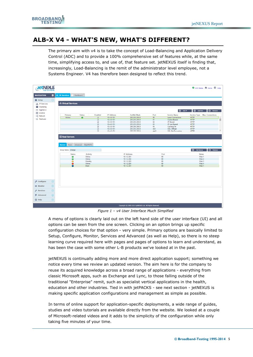## <span id="page-6-0"></span>**ALB-X V4 - WHAT'S NEW, WHAT'S DIFFERENT?**

The primary aim with v4 is to take the concept of Load-Balancing and Application Delivery Control (ADC) and to provide a 100% comprehensive set of features while, at the same time, simplifying access to, and use of, that feature set. jetNEXUS itself is finding that, increasingly, Load-Balancing is the remit of the administrator level employee, not a Systems Engineer. V4 has therefore been designed to reflect this trend.

| <b>JetNEXUS</b>        |                |                                                                                                 |                                                                          |                          |                                                                                         |                            |                                         | C GUI Status R Home <sup>p</sup> Help                                                      |                       |
|------------------------|----------------|-------------------------------------------------------------------------------------------------|--------------------------------------------------------------------------|--------------------------|-----------------------------------------------------------------------------------------|----------------------------|-----------------------------------------|--------------------------------------------------------------------------------------------|-----------------------|
| <b>NAVIGATION</b>      | $\blacksquare$ | $\int_{0}^{2}$ IP-Services<br>Dashboard                                                         |                                                                          |                          |                                                                                         |                            |                                         |                                                                                            |                       |
| <b>卷</b> Setup         | $\Theta$       |                                                                                                 |                                                                          |                          |                                                                                         |                            |                                         |                                                                                            |                       |
| the IP-Services        |                | க் Virtual Services                                                                             |                                                                          |                          |                                                                                         |                            |                                         |                                                                                            |                       |
| Clustering             |                |                                                                                                 |                                                                          |                          |                                                                                         |                            |                                         |                                                                                            |                       |
| - Appliance            |                |                                                                                                 |                                                                          |                          |                                                                                         |                            | <b>4</b> Add IP                         | <b>4</b> Add Port<br>$\Theta$ Remove                                                       |                       |
| E Licence              |                | Primary                                                                                         | <b>Status</b><br>Enabled                                                 | <b>IP Address</b>        | <b>SubNet Mask</b>                                                                      | Port                       | <b>Service Name</b>                     | <b>Service Type</b><br><b>Max. Connections</b>                                             |                       |
| <<<<Network            |                | Active                                                                                          | $\bullet$<br>$\overline{\mathbf{v}}$                                     | 10.4.9.151               | 255.255.255.0                                                                           | 80                         | <b>Least Connections</b>                | <b>HTTP</b>                                                                                | $\Delta$              |
| A Hardware             |                |                                                                                                 | $\overline{\mathbf{v}}$                                                  | 10.4.9.151               | 255.255.255.0                                                                           | 81                         | Cookie Based                            | <b>HTTP</b>                                                                                |                       |
|                        |                |                                                                                                 | $\overline{\mathbf{v}}$                                                  | 10.4.9.151               | 255.255.255.0                                                                           | 82                         | <b>IP Bound</b>                         | <b>HTTP</b>                                                                                |                       |
|                        |                |                                                                                                 | $\boxed{\mathbf{v}}$                                                     | 10.4.9.151               | 255.255.255.0                                                                           | 83                         | <b>IP List Based</b>                    | <b>HTTP</b>                                                                                |                       |
|                        |                |                                                                                                 | $\overline{\mathsf{v}}$                                                  | 10.4.9.151               | 255.255.255.0                                                                           | 84                         | Caching On                              | <b>HTTP</b>                                                                                |                       |
|                        |                |                                                                                                 | $\overline{\mathbf{v}}$<br>$\overline{\omega}$                           | 10.4.9.151<br>10 4 9 151 | 255.255.255.0<br>255 255 255 0                                                          | 443<br>4443                | <b>SSL Offload</b><br>SSI Re-Encryption | <b>HTTP</b><br><b>HTTP</b>                                                                 | $\hspace{0.1mm}\star$ |
|                        |                | Basic Advanced flightPATH<br>Server  <br>Group Name: change<br><b>Status</b><br>$\bigcirc$<br>◒ | <b>Activity</b><br>Online<br>Online<br>Standby<br>Online<br><b>Drain</b> |                          | <b>IP Address</b><br>10.1.2.201<br>10.1.2.202<br>10.1.2.203<br>10.1.2.204<br>10.1.2.201 | 80<br>80<br>80<br>80<br>80 | Port                                    | Add Server<br>$\Theta$ Remove<br><b>Notes</b><br>Web 1<br>Web 2<br>Web 3<br>Web 4<br>Web 1 |                       |
| <sup>O</sup> Configure | $\bigoplus$    |                                                                                                 |                                                                          |                          |                                                                                         |                            |                                         |                                                                                            |                       |
| <b> ■</b> Monitor      | $\bigoplus$    |                                                                                                 |                                                                          |                          |                                                                                         |                            |                                         |                                                                                            |                       |
| $\mathcal{L}$ Services | $\bigoplus$    |                                                                                                 |                                                                          |                          |                                                                                         |                            |                                         |                                                                                            |                       |
| <b>4</b> Advanced      | $\bigoplus$    |                                                                                                 |                                                                          |                          |                                                                                         |                            |                                         |                                                                                            |                       |
| <b>CD</b> Help         | F              |                                                                                                 |                                                                          |                          |                                                                                         |                            |                                         |                                                                                            |                       |
|                        |                |                                                                                                 |                                                                          |                          | Copyright @ 2005-2014 jetNEXUS Ltd. All Rights Reserved.                                |                            |                                         |                                                                                            |                       |

*Figure 1 – v4 User Interface Much Simplfied*

<span id="page-6-1"></span>A menu of options is clearly laid out on the left hand side of the user interface (UI) and all options can be seen from the one screen. Clicking on an option brings up specific configuration choices for that option - very simple. Primary options are basically limited to Setup, Configure, Monitor, Services and Advanced (as well as Help), so there is no steep learning curve required here with pages and pages of options to learn and understand, as has been the case with some other L-B products we've looked at in the past.

jetNEXUS is continually adding more and more direct application support; something we notice every time we review an updated version. The aim here is for the company to reuse its acquired knowledge across a broad range of applications - everything from classic Microsoft apps, such as Exchange and Lync, to those falling outside of the traditional "Enterprise" remit, such as specialist vertical applications in the health, education and other industries. Tied in with jetPACKS - see next section - jetNEXUS is making specific application configurations and management as simple as possible.

In terms of online support for application-specific deployments, a wide range of guides, studies and video tutorials are available directly from the website. We looked at a couple of Microsoft-related videos and it adds to the simplicity of the configuration while only taking five minutes of your time.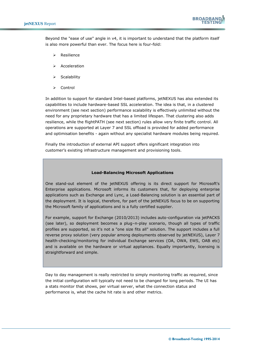

Beyond the "ease of use" angle in v4, it is important to understand that the platform itself is also more powerful than ever. The focus here is four-fold:

- Resilience
- $\triangleright$  Acceleration
- $\triangleright$  Scalability
- **≻** Control

In addition to support for standard Intel-based platforms, jetNEXUS has also extended its capabilities to include hardware-based SSL acceleration. The idea is that, in a clustered environment (see next section) performance scalability is effectively unlimited without the need for any proprietary hardware that has a limited lifespan. That clustering also adds resilience, while the flightPATH (see next section) rules allow very finite traffic control. All operations are supported at Layer 7 and SSL offload is provided for added performance and optimisation benefits - again without any specialist hardware modules being required.

Finally the introduction of external API support offers significant integration into customer's existing infrastructure management and provisioning tools.

#### **Load-Balancing Microsoft Applications**

One stand-out element of the jetNEXUS offering is its direct support for Microsoft's Enterprise applications. Microsoft informs its customers that, for deploying enterprise applications such as Exchange and Lync, a Load-Balancing solution is an essential part of the deployment. It is logical, therefore, for part of the jetNEXUS focus to be on supporting the Microsoft family of applications and is a fully certified supplier.

For example, support for Exchange (2010/2013) includes auto-configuration via jetPACKS (see later), so deployment becomes a plug–n-play scenario, though all types of traffic profiles are supported, so it's not a "one size fits all" solution. The support includes a full reverse proxy solution (very popular among deployments observed by jetNEXUS), Layer 7 health-checking/monitoring for individual Exchange services (OA, OWA, EWS, OAB etc) and is available on the hardware or virtual appliances. Equally importantly, licensing is straightforward and simple.

Day to day management is really restricted to simply monitoring traffic as required, since the initial configuration will typically not need to be changed for long periods. The UI has a stats monitor that shows, per virtual server, what the connection status and performance is, what the cache hit rate is and other metrics.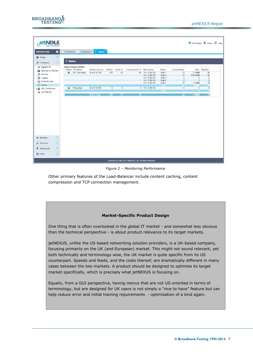

| <b>JetNEXLS</b><br><b>ALB EXTREM</b> |                |                     |                                |                                 |                |         |                                                          |                                |                |                          |                    | GUI Status & Home <b>D</b> Help |  |
|--------------------------------------|----------------|---------------------|--------------------------------|---------------------------------|----------------|---------|----------------------------------------------------------|--------------------------------|----------------|--------------------------|--------------------|---------------------------------|--|
| <b>NAVIGATION</b>                    | $\blacksquare$ | IP-Services         |                                | Dashboard B Status B            |                |         |                                                          |                                |                |                          |                    |                                 |  |
| <b>卷 Setup</b>                       | $\bigoplus$    |                     |                                |                                 |                |         |                                                          |                                |                |                          |                    |                                 |  |
|                                      |                | <sup>8</sup> Status |                                |                                 |                |         |                                                          |                                |                |                          |                    |                                 |  |
| O Configure                          | $\Box$         |                     |                                |                                 |                |         |                                                          |                                |                |                          |                    |                                 |  |
| 文 flightPATH                         |                |                     | <b>Virtual Service Details</b> |                                 |                |         |                                                          |                                |                |                          |                    |                                 |  |
| Real Server Monitor                  |                |                     | Status VS Name                 | Virtual Service Hit/Sec Cache % |                |         | Compression % Real Server                                |                                | <b>Notes</b>   | Connections              |                    | Data Req/Sec                    |  |
| Security                             |                | ⊛                   | My Test Setup                  | 10.4.9.151:80                   | 230            | 67      |                                                          | 65 10.1.2.201:80               | Web 1<br>Web 2 | 10                       | 1.02MB<br>838.34KB | 38<br>40                        |  |
| E Logging                            |                |                     |                                |                                 |                |         |                                                          | 10.1.2.202:80<br>10.1.2.203:80 | Web 3          | 12<br>$\mathbf{0}$       | $\mathbf{0}$       | $\mathbf{0}$                    |  |
|                                      |                |                     |                                |                                 |                |         |                                                          | 10.1.2.204:80                  | Web 4          | $\theta$                 | $\theta$           | $\circ$                         |  |
| E-Mail Events                        |                |                     |                                |                                 |                |         |                                                          | 10.1.2.201:80                  | Web 1          | 10                       | 1.02MB             | 38                              |  |
| Cache                                |                |                     |                                |                                 |                |         |                                                          |                                | Total          | $\overline{\mathbf{22}}$ | <b>1.86MB</b>      | 78                              |  |
| <b>B</b> SSL Certificates            |                |                     | Production                     | 10.4.9.152:80                   | $\overline{0}$ | $\circ$ |                                                          | $0$ 10.1.2.201:80              |                | $\mathbf{0}$             | $\theta$           | $\bf{0}$                        |  |
| jetSTREAM                            |                |                     |                                |                                 |                |         |                                                          |                                | Total          |                          |                    |                                 |  |
|                                      |                |                     |                                | <b>ALB-X Total</b>              | 230            | 67      | 65                                                       |                                |                | 22                       | 1.86MB             | 78                              |  |
|                                      |                |                     |                                |                                 |                |         |                                                          |                                |                |                          |                    |                                 |  |
| <b> ■</b> Monitor                    | $\bigoplus$    |                     |                                |                                 |                |         |                                                          |                                |                |                          |                    |                                 |  |
| $\mathcal{L}$ Services               | $\bigoplus$    |                     |                                |                                 |                |         |                                                          |                                |                |                          |                    |                                 |  |
| Advanced                             | $\bigoplus$    |                     |                                |                                 |                |         |                                                          |                                |                |                          |                    |                                 |  |
| <b>ED</b> Help                       | (F)            |                     |                                |                                 |                |         |                                                          |                                |                |                          |                    |                                 |  |
|                                      |                |                     |                                |                                 |                |         | Copyright @ 2005-2014 jetNEXUS Ltd. All Rights Reserved. |                                |                |                          |                    |                                 |  |

*Figure 2 – Monitoring Performance*

<span id="page-8-0"></span>Other primary features of the Load-Balancer include content caching, content compression and TCP connection management.

#### **Market-Specific Product Design**

One thing that is often overlooked in the global IT market - and somewhat less obvious than the technical perspective - is about product relevance to its target markets.

jetNEXUS, unlike the US-based networking solution providers, is a UK-based company, focusing primarily on the UK (and European) market. This might not sound relevant, yet both technically and terminology wise, the UK market is quite specific from its US counterpart. Speeds and feeds, and the costs thereof, are dramatically different in many cases between the two markets. A product should be designed to optimise its target market specifically, which is precisely what jetNEXUS is focusing on.

Equally, from a GUI perspective, having menus that are not US-oriented in terms of terminology, but are designed for UK users is not simply a "nice to have" feature but can help reduce error and initial training requirements - optimisation of a kind again.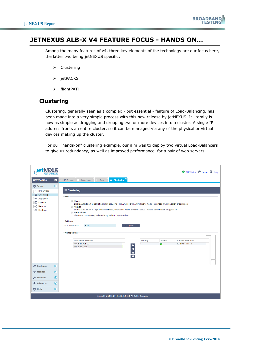

## <span id="page-9-0"></span>**JETNEXUS ALB-X V4 FEATURE FOCUS - HANDS ON...**

Among the many features of v4, three key elements of the technology are our focus here, the latter two being jetNEXUS specific:

- $\triangleright$  Clustering
- $\triangleright$  jetPACKS
- flightPATH

### <span id="page-9-1"></span>**Clustering**

Clustering, generally seen as a complex - but essential - feature of Load-Balancing, has been made into a very simple process with this new release by jetNEXUS. It literally is now as simple as dragging and dropping two or more devices into a cluster. A single IP address fronts an entire cluster, so it can be managed via any of the physical or virtual devices making up the cluster.

For our "hands-on" clustering example, our aim was to deploy two virtual Load-Balancers to give us redundancy, as well as improved performance, for a pair of web servers.

|                                                                                                |                | GUI Status & Home <b>D</b> Help                                                                                                                                                                                                                                                                                                                                                                                                                                                                                                                                                                                                                                                               |  |
|------------------------------------------------------------------------------------------------|----------------|-----------------------------------------------------------------------------------------------------------------------------------------------------------------------------------------------------------------------------------------------------------------------------------------------------------------------------------------------------------------------------------------------------------------------------------------------------------------------------------------------------------------------------------------------------------------------------------------------------------------------------------------------------------------------------------------------|--|
| <b>NAVIGATION</b>                                                                              | $\blacksquare$ | Dashboard $\begin{bmatrix} 8 \\ 1 \end{bmatrix}$ Status $\begin{bmatrix} 8 \\ 1 \end{bmatrix}$ Clustering $\begin{bmatrix} 8 \\ 1 \end{bmatrix}$<br>IP-Services                                                                                                                                                                                                                                                                                                                                                                                                                                                                                                                               |  |
| <b>卷 Setup</b>                                                                                 | $\Theta$       |                                                                                                                                                                                                                                                                                                                                                                                                                                                                                                                                                                                                                                                                                               |  |
| <b>And IP-Services</b><br>Clustering<br>- Appliance<br>E Licence<br><<<<<Network<br>A Hardware |                | $\equiv$ Clustering<br><b>Role</b><br>© Cluster<br>Enable ALB-X to act as part of a Cluster, providing High Availability in Active-Passive mode - automatic synchronisation of appliances<br>◯ Manual<br>Enable ALB-X to act in High Availability mode, ether Active-Active or Active-Passive - manual configuration of appliances<br>Stand-alone<br>This ALB acts completely independently without high-availability<br><b>Settings</b><br>t <sup>1</sup> Update<br>Wait Times (ms):<br>5000<br><b>Management</b><br><b>Unclaimed Devices</b><br><b>Cluster Members</b><br><b>Priority</b><br><b>Status</b><br>10.4.9.51 Test 1<br>10.4.8.11 ALB-X<br>1<br>$\frac{1}{1}$<br>10.4.9.52 Test 2 |  |
| $\circ$ Configure                                                                              | F              |                                                                                                                                                                                                                                                                                                                                                                                                                                                                                                                                                                                                                                                                                               |  |
| <b>E</b> Monitor                                                                               | F              |                                                                                                                                                                                                                                                                                                                                                                                                                                                                                                                                                                                                                                                                                               |  |
| $\sqrt{\epsilon}$ Services                                                                     | F              |                                                                                                                                                                                                                                                                                                                                                                                                                                                                                                                                                                                                                                                                                               |  |
| <b>4</b> Advanced                                                                              | F              |                                                                                                                                                                                                                                                                                                                                                                                                                                                                                                                                                                                                                                                                                               |  |
| <b>CD</b> Help                                                                                 | $\bigoplus$    |                                                                                                                                                                                                                                                                                                                                                                                                                                                                                                                                                                                                                                                                                               |  |
|                                                                                                |                | Copyright © 2005-2014 jetNEXUS Ltd. All Rights Reserved.                                                                                                                                                                                                                                                                                                                                                                                                                                                                                                                                                                                                                                      |  |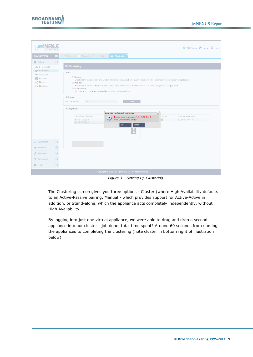

|                                                                                        | GUI Status & Home <b>CD</b> Help                                                                                                                                                                                                                                                                                                                                                                                                                                                                                                                                                                                                                                                                                                                                          |  |  |  |  |  |  |  |  |
|----------------------------------------------------------------------------------------|---------------------------------------------------------------------------------------------------------------------------------------------------------------------------------------------------------------------------------------------------------------------------------------------------------------------------------------------------------------------------------------------------------------------------------------------------------------------------------------------------------------------------------------------------------------------------------------------------------------------------------------------------------------------------------------------------------------------------------------------------------------------------|--|--|--|--|--|--|--|--|
| <b>NAVIGATION</b><br>$\ll$                                                             | IP-Services <b>b</b> Dashboard <b>E</b> Status <b>E</b> Clustering <b>E</b>                                                                                                                                                                                                                                                                                                                                                                                                                                                                                                                                                                                                                                                                                               |  |  |  |  |  |  |  |  |
| $\Box$<br><b>卷 Setup</b>                                                               |                                                                                                                                                                                                                                                                                                                                                                                                                                                                                                                                                                                                                                                                                                                                                                           |  |  |  |  |  |  |  |  |
| <b>出 IP-Services</b><br>Clustering                                                     | $\equiv$ Clustering                                                                                                                                                                                                                                                                                                                                                                                                                                                                                                                                                                                                                                                                                                                                                       |  |  |  |  |  |  |  |  |
| - Appliance<br>E Licence<br><<<<<<Network<br>A Hardware                                | <b>Role</b><br>© Cluster<br>Enable ALB-X to act as part of a Cluster, providing High Availability in Active-Passive mode - automatic synchronisation of appliances<br><b>Manual</b><br>Enable ALB-X to act in High Availability mode, ether Active-Active or Active-Passive - manual configuration of appliances<br>Stand-alone<br>This ALB acts completely independently without high-availability<br>Settings<br>t <sup>1</sup> Update<br>Wait Times (ms):<br>5000<br>Management<br><b>Promote Unclaimed to Cluster</b><br>$\overline{\mathsf{x}}$<br><b>Unclaimed Devices</b><br><b>Cluster Members</b><br><b>Status</b><br>Do you want to promote '10.4.9.52 Test 2<br>$\mathbf{r}$<br>from unclaimed to cluster?<br>10.4.8.11 ALB-X<br>10.4.9.51 Test 1<br>$\bullet$ |  |  |  |  |  |  |  |  |
|                                                                                        | 10.4.9.52 Test 2<br>OK<br>Cancel<br>$\overline{1}$                                                                                                                                                                                                                                                                                                                                                                                                                                                                                                                                                                                                                                                                                                                        |  |  |  |  |  |  |  |  |
| $\Box$<br>$\beta$ Configure                                                            |                                                                                                                                                                                                                                                                                                                                                                                                                                                                                                                                                                                                                                                                                                                                                                           |  |  |  |  |  |  |  |  |
| $\sqrt{+1}$<br><b> ■</b> Monitor                                                       |                                                                                                                                                                                                                                                                                                                                                                                                                                                                                                                                                                                                                                                                                                                                                                           |  |  |  |  |  |  |  |  |
| (F)<br>$\mathcal{L}$ Services                                                          |                                                                                                                                                                                                                                                                                                                                                                                                                                                                                                                                                                                                                                                                                                                                                                           |  |  |  |  |  |  |  |  |
| F<br>$\n  A div A A A B B C C A C C A C C C C C C C C C C C C C C C C C C C C C C C <$ |                                                                                                                                                                                                                                                                                                                                                                                                                                                                                                                                                                                                                                                                                                                                                                           |  |  |  |  |  |  |  |  |
| <b>O</b> Help<br>$\bigoplus$                                                           |                                                                                                                                                                                                                                                                                                                                                                                                                                                                                                                                                                                                                                                                                                                                                                           |  |  |  |  |  |  |  |  |
|                                                                                        | Copyright © 2005-2014 jetNEXUS Ltd. All Rights Reserved.                                                                                                                                                                                                                                                                                                                                                                                                                                                                                                                                                                                                                                                                                                                  |  |  |  |  |  |  |  |  |

*Figure 3 – Setting Up Clustering*

<span id="page-10-0"></span>The Clustering screen gives you three options - Cluster (where High Availability defaults to an Active-Passive pairing, Manual - which provides support for Active-Active in addition, or Stand-alone, which the appliance acts completely independently, without High Availability.

By logging into just one virtual appliance, we were able to drag and drop a second appliance into our cluster - job done, total time spent? Around 60 seconds from naming the appliances to completing the clustering (note cluster in bottom right of illustration below)!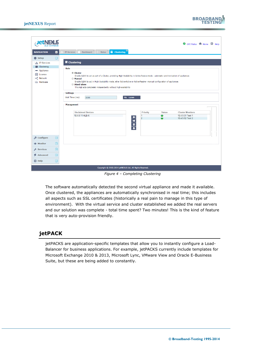

| let                                                                                            |                             |                                                                                                                                                                                                                                                                                                                                                                                                                                                                                                                                                                              |                                   |               | C GUI Status A Home + Help                                     |  |
|------------------------------------------------------------------------------------------------|-----------------------------|------------------------------------------------------------------------------------------------------------------------------------------------------------------------------------------------------------------------------------------------------------------------------------------------------------------------------------------------------------------------------------------------------------------------------------------------------------------------------------------------------------------------------------------------------------------------------|-----------------------------------|---------------|----------------------------------------------------------------|--|
| <b>NAVIGATION</b>                                                                              | $\blacksquare$              | <b>B</b> Status <b>E</b> Clustering <b>B</b><br>Dashboard $\overline{M}$<br>IP-Services                                                                                                                                                                                                                                                                                                                                                                                                                                                                                      |                                   |               |                                                                |  |
| <b>卷 Setup</b>                                                                                 | $\Theta$                    |                                                                                                                                                                                                                                                                                                                                                                                                                                                                                                                                                                              |                                   |               |                                                                |  |
| <b>A. IP-Services</b><br>Clustering<br>- Appliance<br>E Licence<br><<<<<<Network<br>A Hardware |                             | $\equiv$ Clustering<br><b>Role</b><br>© Cluster<br>Enable ALB-X to act as part of a Cluster, providing High Availability in Active-Passive mode - automatic synchronisation of appliances<br><b>Manual</b><br>Enable ALB-X to act in High Availability mode, ether Active-Active or Active-Passive - manual configuration of appliances<br>Stand-alone<br>This ALB acts completely independently without high-availability<br><b>Settings</b><br>$t$ Update<br>Wait Times (ms):<br>5000<br><b>Management</b><br><b>Unclaimed Devices</b><br>10.4.8.11 ALB-X<br>$\frac{1}{1}$ | <b>Priority</b><br>$\overline{2}$ | <b>Status</b> | <b>Cluster Members</b><br>10.4.9.51 Test 1<br>10.4.9.52 Test 2 |  |
| O Configure                                                                                    | F                           |                                                                                                                                                                                                                                                                                                                                                                                                                                                                                                                                                                              |                                   |               |                                                                |  |
| <b>S</b> Monitor                                                                               | F                           |                                                                                                                                                                                                                                                                                                                                                                                                                                                                                                                                                                              |                                   |               |                                                                |  |
| $\sqrt{\phantom{a}}$ Services                                                                  | $\bigoplus$                 |                                                                                                                                                                                                                                                                                                                                                                                                                                                                                                                                                                              |                                   |               |                                                                |  |
| <b>4</b> Advanced                                                                              | $\bigoplus$                 |                                                                                                                                                                                                                                                                                                                                                                                                                                                                                                                                                                              |                                   |               |                                                                |  |
| <b>CD</b> Help                                                                                 | $\left  \mathbf{F} \right $ |                                                                                                                                                                                                                                                                                                                                                                                                                                                                                                                                                                              |                                   |               |                                                                |  |
|                                                                                                |                             | Copyright © 2005-2014 jetNEXUS Ltd. All Rights Reserved.                                                                                                                                                                                                                                                                                                                                                                                                                                                                                                                     |                                   |               |                                                                |  |

*Figure 4 – Completing Clustering*

<span id="page-11-1"></span>The software automatically detected the second virtual appliance and made it available. Once clustered, the appliances are automatically synchronised in real time; this includes all aspects such as SSL certificates (historically a real pain to manage in this type of environment). With the virtual service and cluster established we added the real servers and our solution was complete - total time spent? Two minutes! This is the kind of feature that is very auto-provision friendly.

## <span id="page-11-0"></span>**jetPACK**

jetPACKS are application-specific templates that allow you to instantly configure a Load-Balancer for business applications. For example, jetPACKS currently include templates for Microsoft Exchange 2010 & 2013, Microsoft Lync, VMware View and Oracle E-Business Suite, but these are being added to constantly.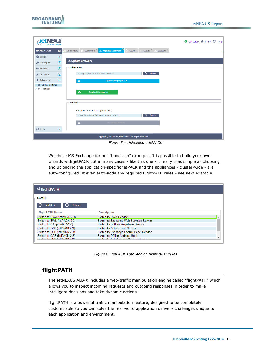

| <b>JetNEXUS</b><br>ALB EXTREME     |                |                                                                                                                                | GUI Status & Home <b>D</b> | Help |
|------------------------------------|----------------|--------------------------------------------------------------------------------------------------------------------------------|----------------------------|------|
| <b>NAVIGATION</b>                  | $\blacksquare$ | $\bowtie$<br>to Update Software <sup>8</sup><br> X <br>Dashboard<br>IP-Services<br>Cache<br><b>Statistics</b><br><b>Status</b> |                            |      |
| <b>卷 Setup</b>                     | F              |                                                                                                                                |                            |      |
| <b>O</b> Configure                 | $\bigoplus$    | <b>4 Update Software</b>                                                                                                       |                            |      |
| <b> ■</b> Monitor                  | (F)            | Configuration:                                                                                                                 |                            |      |
| $\sqrt{\phantom{a}}$ Services      | $\bigoplus$    | Q<br><b>Browse</b><br>C:\fakepath\jetPACK-4.4.4.1-Web-HTTP.txt                                                                 |                            |      |
| <b>≰</b> Advanced                  | 闩              | 土<br>Upload Config or jetPACK                                                                                                  |                            |      |
| Lupdate Software<br>$\n  Protocol$ |                | 盂<br><b>Download Configuration</b><br>Software:<br>Software Version: 4.0.2 (Build 1581)                                        |                            |      |
| $oplus$ Help                       | $\bigoplus$    | Browse for software file then click upload to apply.<br>$\Omega$<br><b>Browse</b><br>Upload New Software<br>土                  |                            |      |
|                                    |                | Copyright @ 2005-2014 jetNEXUS Ltd. All Rights Reserved.                                                                       |                            |      |

*Figure 5 – Uploading a jetPACK*

<span id="page-12-1"></span>We chose MS Exchange for our "hands-on" example. It is possible to build your own wizards with jetPACK but in many cases - like this one - it really is as simple as choosing and uploading the application-specific jetPACK and the appliances - cluster-wide - are auto-configured. It even auto-adds any required flightPATH rules - see next example.

| $\frac{1}{2}$ flightPATH      |                                          |  |
|-------------------------------|------------------------------------------|--|
| <b>Details</b>                |                                          |  |
| <b>Add New</b><br>⊝<br>Remove |                                          |  |
| flightPATH Name               | <b>Description</b>                       |  |
| Switch to OWA (jetPACK-2-3)   | Switch to OWA Service                    |  |
| Switch to EWS (jetPACK-2-3)   | Switch to Exchange Web Services Service  |  |
| Switch to OA (jetPACK-2-3)    | Switch to Outlook Anywhere Service       |  |
| Switch to EAS (jetPACK-2-3)   | Switch to Active Sync Service            |  |
| Switch to ECP (jetPACK-2-3)   | Switch to Exchange Control Panel Service |  |
| Switch to OAB (jetPACK-2-3)   | Switch to Offline Address Book           |  |
| Cuitable ADC GatDACK 2.21     | Cuitable Autodiosover Conviso Conviso    |  |

*Figure 6 –jetPACK Auto-Adding flightPATH Rules*

## <span id="page-12-2"></span><span id="page-12-0"></span>**flightPATH**

The jetNEXUS ALB-X includes a web-traffic manipulation engine called "flightPATH" which allows you to inspect incoming requests and outgoing responses in order to make intelligent decisions and take dynamic actions.

flightPATH is a powerful traffic manipulation feature, designed to be completely customisable so you can solve the real world application delivery challenges unique to each application and environment.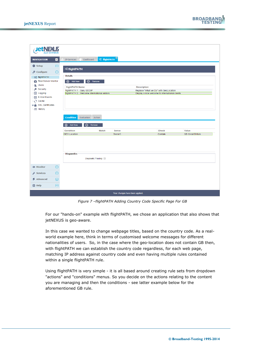| <b>Teti</b>                               |                                       |                                                  |                                 |                                                 |              |                         |
|-------------------------------------------|---------------------------------------|--------------------------------------------------|---------------------------------|-------------------------------------------------|--------------|-------------------------|
|                                           |                                       | $\approx$ flightPATH $^{\circledR}$<br>Dashboard |                                 |                                                 |              |                         |
| <b>NAVIGATION</b><br>$\blacksquare$       | IP-Services                           |                                                  |                                 |                                                 |              |                         |
| <b>卷 Setup</b><br>$\bigoplus$             | X flightPATH                          |                                                  |                                 |                                                 |              |                         |
| $\circ$ Configure<br>Θ                    |                                       |                                                  |                                 |                                                 |              |                         |
| 文 flightPATH                              | <b>Details</b>                        |                                                  |                                 |                                                 |              |                         |
| Real Server Monitor                       | <b>4</b> Add New                      | $\Theta$<br>Remove                               |                                 |                                                 |              |                         |
| <b>Sec Users</b>                          | flightPATH Name<br><b>Description</b> |                                                  |                                 |                                                 |              |                         |
| Security                                  | flightPATH 1 - Gary GEOIP             |                                                  |                                 | Replace "What we Do" with GeoLocation           |              |                         |
| <b>E</b> Logging                          |                                       | flightPATH 2 - Welcome international visitors    |                                 | Display a nice welcome to international clients |              |                         |
| ⊠ E-Mail Events                           |                                       |                                                  |                                 |                                                 |              |                         |
| C cache                                   |                                       |                                                  |                                 |                                                 |              |                         |
| <b>B</b> SSL Certificates                 |                                       |                                                  |                                 |                                                 |              |                         |
| <b>ALL</b> History                        |                                       |                                                  |                                 |                                                 |              |                         |
|                                           |                                       |                                                  |                                 |                                                 |              |                         |
|                                           | <b>Condition</b>                      | Evaluation<br>Action                             |                                 |                                                 |              |                         |
|                                           | $\overline{\bigoplus}$ Add New        | Remove<br>Θ                                      |                                 |                                                 |              |                         |
|                                           | <b>Condition</b>                      | Match                                            | <b>Sense</b>                    |                                                 | <b>Check</b> | Value                   |
|                                           | <b>GEO Location</b>                   |                                                  | Doesn't                         |                                                 | Contain      | <b>GB Great Britain</b> |
|                                           |                                       |                                                  |                                 |                                                 |              |                         |
|                                           |                                       |                                                  |                                 |                                                 |              |                         |
|                                           |                                       |                                                  |                                 |                                                 |              |                         |
|                                           | <b>Diagnostics</b>                    |                                                  |                                 |                                                 |              |                         |
|                                           |                                       | Diagnostic Tracing:                              |                                 |                                                 |              |                         |
|                                           |                                       |                                                  |                                 |                                                 |              |                         |
| <b> ■</b> Monitor<br>⊕                    |                                       |                                                  |                                 |                                                 |              |                         |
| $\bigoplus$<br>$\sqrt{\epsilon}$ Services |                                       |                                                  |                                 |                                                 |              |                         |
| Advanced<br>F                             |                                       |                                                  |                                 |                                                 |              |                         |
| $oplus$ Help<br>田                         |                                       |                                                  |                                 |                                                 |              |                         |
|                                           |                                       |                                                  | Your changes have been applied. |                                                 |              |                         |

*Figure 7 –flightPATH Adding Country Code Specific Page For GB*

<span id="page-13-0"></span>For our "hands-on" example with flightPATH, we chose an application that also shows that jetNEXUS is geo-aware.

In this case we wanted to change webpage titles, based on the country code. As a realworld example here, think in terms of customised welcome messages for different nationalities of users. So, in the case where the geo-location does not contain GB then, with flightPATH we can establish the country code regardless, for each web page, matching IP address against country code and even having multiple rules contained within a single flightPATH rule.

Using flightPATH is very simple - it is all based around creating rule sets from dropdown "actions" and "conditions" menus. So you decide on the actions relating to the content you are managing and then the conditions - see latter example below for the aforementioned GB rule.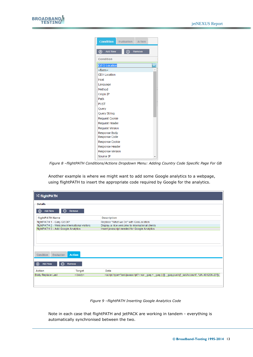| <b>Condition</b>        | Evaluation | Action        |  |  |  |  |
|-------------------------|------------|---------------|--|--|--|--|
| <b>Add New</b><br>⊕     |            | <b>Remove</b> |  |  |  |  |
| Condition               |            |               |  |  |  |  |
| <b>GEO Location</b>     |            |               |  |  |  |  |
| $<$ form $>$            |            |               |  |  |  |  |
| <b>GEO Location</b>     |            |               |  |  |  |  |
| Host                    |            |               |  |  |  |  |
| Language                |            |               |  |  |  |  |
| Method                  |            |               |  |  |  |  |
| Origin IP               |            |               |  |  |  |  |
| Path                    |            |               |  |  |  |  |
| <b>POST</b>             |            |               |  |  |  |  |
| Query                   |            |               |  |  |  |  |
| <b>Query String</b>     |            |               |  |  |  |  |
| Request Cookie          |            |               |  |  |  |  |
| <b>Request Header</b>   |            |               |  |  |  |  |
| <b>Request Version</b>  |            |               |  |  |  |  |
| Response Body           |            |               |  |  |  |  |
| Response Code           |            |               |  |  |  |  |
| Response Cookie         |            |               |  |  |  |  |
| Response Header         |            |               |  |  |  |  |
| <b>Response Version</b> |            |               |  |  |  |  |
| Source IP               |            |               |  |  |  |  |

<span id="page-14-0"></span>*Figure 8 –flightPATH Conditions/Actions Dropdown Menu: Adding Country Code Specific Page For GB*

Another example is where we might want to add some Google analytics to a webpage, using flightPATH to insert the appropriate code required by Google for the analytics.

| <b>X flightPATH</b>                           |               |                                                 |
|-----------------------------------------------|---------------|-------------------------------------------------|
| <b>Details</b>                                |               |                                                 |
| <b>Add New</b><br>Θ<br>$^\circledR$           | Remove        |                                                 |
| flightPATH Name                               |               | <b>Description</b>                              |
| flightPATH 1 - Gary GEOIP                     |               | Replace "What we Do" with GeoLocation           |
| flightPATH 2 - Welcome international visitors |               | Display a nice welcome to international clients |
| flightPATH 3 - Add Google Analytics           |               | Insert javascript needed for Google Analytics   |
| Evaluation<br>Condition                       | <b>Action</b> |                                                 |
| $\Theta$<br>$^{\circledR}$<br><b>Add New</b>  | Remove        |                                                 |
| <b>Action</b>                                 | <b>Target</b> | Data                                            |
| <b>Body Replace Last</b>                      | $<$ /body>    | <script type="text/javascript"></script>        |

*Figure 9 –flightPATH Inserting Google Analytics Code*

<span id="page-14-1"></span>Note in each case that flightPATH and jetPACK are working in tandem - everything is automatically synchronised between the two.